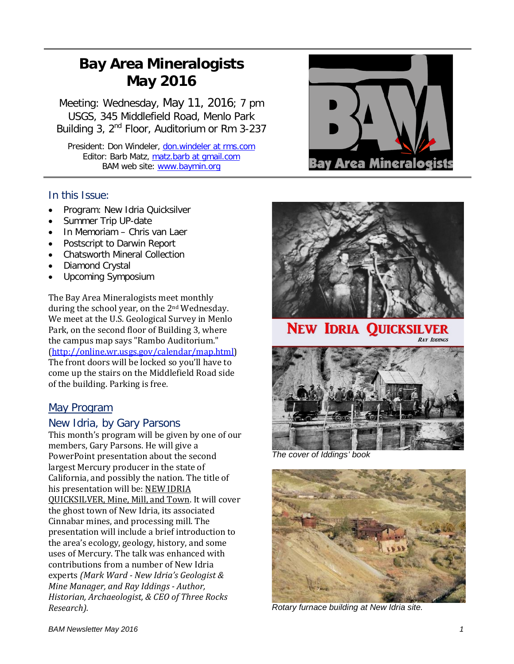# **Bay Area Mineralogists May 2016**

Meeting: Wednesday, May 11, 2016; 7 pm USGS, 345 Middlefield Road, Menlo Park Building 3, 2<sup>nd</sup> Floor, Auditorium or Rm 3-237

President: Don Windeler, don.windeler at rms.com Editor: Barb Matz, matz.barb at gmail.com BAM web site: [www.baymin.org](http://www.baymin.org/)

#### In this Issue:

- Program: New Idria Quicksilver
- Summer Trip UP-date
- In Memoriam Chris van Laer
- Postscript to Darwin Report
- Chatsworth Mineral Collection
- Diamond Crystal
- Upcoming Symposium

The Bay Area Mineralogists meet monthly during the school year, on the 2nd Wednesday. We meet at the U.S. Geological Survey in Menlo Park, on the second floor of Building 3, where the campus map says "Rambo Auditorium." [\(http://online.wr.usgs.gov/calendar/map.html\)](http://online.wr.usgs.gov/calendar/map.html) The front doors will be locked so you'll have to come up the stairs on the Middlefield Road side of the building. Parking is free.

## May Program

#### New Idria, by Gary Parsons

This month's program will be given by one of our members, Gary Parsons. He will give a PowerPoint presentation about the second largest Mercury producer in the state of California, and possibly the nation. The title of his presentation will be: NEW IDRIA QUICKSILVER, Mine, Mill, and Town. It will cover the ghost town of New Idria, its associated Cinnabar mines, and processing mill. The presentation will include a brief introduction to the area's ecology, geology, history, and some uses of Mercury. The talk was enhanced with contributions from a number of New Idria experts *(Mark Ward - New Idria's Geologist & Mine Manager, and Ray Iddings - Author, Historian, Archaeologist, & CEO of Three Rocks Research).*





**NEW IDRIA QUICKSILVER** 





*The cover of Iddings' book*



*Rotary furnace building at New Idria site.*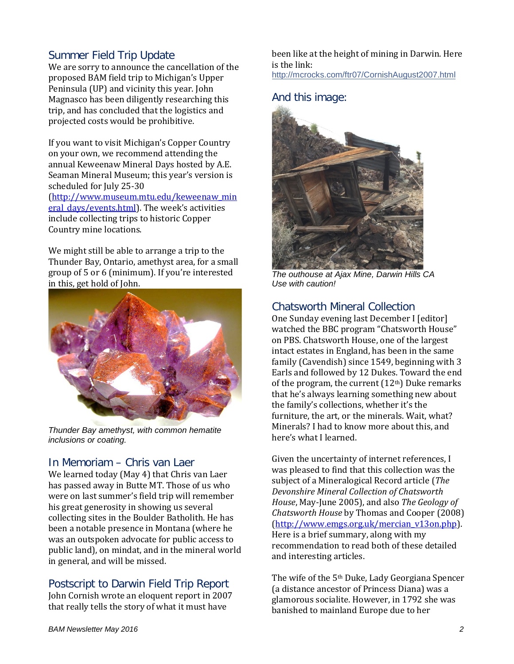## Summer Field Trip Update

We are sorry to announce the cancellation of the proposed BAM field trip to Michigan's Upper Peninsula (UP) and vicinity this year. John Magnasco has been diligently researching this trip, and has concluded that the logistics and projected costs would be prohibitive.

If you want to visit Michigan's Copper Country on your own, we recommend attending the annual Keweenaw Mineral Days hosted by A.E. Seaman Mineral Museum; this year's version is scheduled for July 25-30 [\(http://www.museum.mtu.edu/keweenaw\\_min](http://www.museum.mtu.edu/keweenaw_mineral_days/events.html) [eral\\_days/events.html\)](http://www.museum.mtu.edu/keweenaw_mineral_days/events.html). The week's activities include collecting trips to historic Copper Country mine locations.

We might still be able to arrange a trip to the Thunder Bay, Ontario, amethyst area, for a small group of 5 or 6 (minimum). If you're interested in this, get hold of John.



*Thunder Bay amethyst, with common hematite inclusions or coating.*

## In Memoriam – Chris van Laer

We learned today (May 4) that Chris van Laer has passed away in Butte MT. Those of us who were on last summer's field trip will remember his great generosity in showing us several collecting sites in the Boulder Batholith. He has been a notable presence in Montana (where he was an outspoken advocate for public access to public land), on mindat, and in the mineral world in general, and will be missed.

## Postscript to Darwin Field Trip Report

John Cornish wrote an eloquent report in 2007 that really tells the story of what it must have

been like at the height of mining in Darwin. Here is the link: [http://mcrocks.com/ftr07/CornishAugust2007.html](http://l.facebook.com/l.php?u=http%3A%2F%2Fmcrocks.com%2Fftr07%2FCornishAugust2007.html&h=WAQEvXbXy)

#### And this image:



*The outhouse at Ajax Mine, Darwin Hills CA Use with caution!*

#### Chatsworth Mineral Collection

One Sunday evening last December I [editor] watched the BBC program "Chatsworth House" on PBS. Chatsworth House, one of the largest intact estates in England, has been in the same family (Cavendish) since 1549, beginning with 3 Earls and followed by 12 Dukes. Toward the end of the program, the current  $(12<sup>th</sup>)$  Duke remarks that he's always learning something new about the family's collections, whether it's the furniture, the art, or the minerals. Wait, what? Minerals? I had to know more about this, and here's what I learned.

Given the uncertainty of internet references, I was pleased to find that this collection was the subject of a Mineralogical Record article (*The Devonshire Mineral Collection of Chatsworth House*, May-June 2005), and also *The Geology of Chatsworth House* by Thomas and Cooper (2008) [\(http://www.emgs.org.uk/mercian\\_v13on.php\)](http://www.emgs.org.uk/mercian_v13on.php). Here is a brief summary, along with my recommendation to read both of these detailed and interesting articles.

The wife of the 5th Duke, Lady Georgiana Spencer (a distance ancestor of Princess Diana) was a glamorous socialite. However, in 1792 she was banished to mainland Europe due to her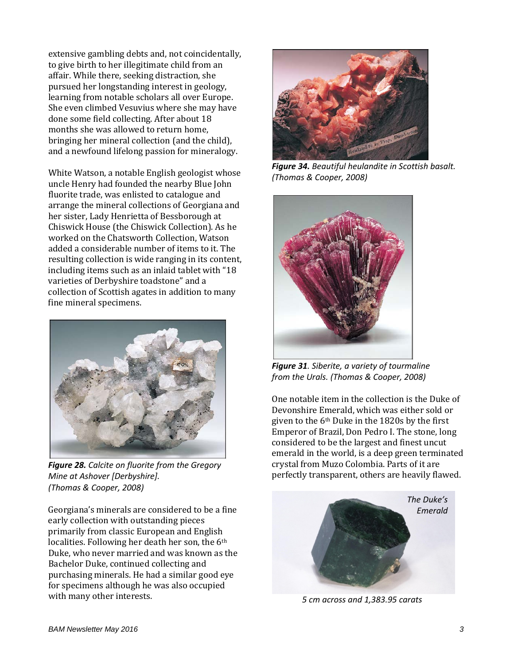extensive gambling debts and, not coincidentally, to give birth to her illegitimate child from an affair. While there, seeking distraction, she pursued her longstanding interest in geology, learning from notable scholars all over Europe. She even climbed Vesuvius where she may have done some field collecting. After about 18 months she was allowed to return home, bringing her mineral collection (and the child), and a newfound lifelong passion for mineralogy.

White Watson, a notable English geologist whose uncle Henry had founded the nearby Blue John fluorite trade, was enlisted to catalogue and arrange the mineral collections of Georgiana and her sister, Lady Henrietta of Bessborough at Chiswick House (the Chiswick Collection). As he worked on the Chatsworth Collection, Watson added a considerable number of items to it. The resulting collection is wide ranging in its content, including items such as an inlaid tablet with "18 varieties of Derbyshire toadstone" and a collection of Scottish agates in addition to many fine mineral specimens.



*Figure 28. Calcite on fluorite from the Gregory Mine at Ashover [Derbyshire]. (Thomas & Cooper, 2008)*

Georgiana's minerals are considered to be a fine early collection with outstanding pieces primarily from classic European and English localities. Following her death her son, the 6th Duke, who never married and was known as the Bachelor Duke, continued collecting and purchasing minerals. He had a similar good eye for specimens although he was also occupied with many other interests.



*Figure 34. Beautiful heulandite in Scottish basalt. (Thomas & Cooper, 2008)*



*Figure 31. Siberite, a variety of tourmaline from the Urals. (Thomas & Cooper, 2008)*

One notable item in the collection is the Duke of Devonshire Emerald, which was either sold or given to the 6th Duke in the 1820s by the first Emperor of Brazil, Don Pedro I. The stone, long considered to be the largest and finest uncut emerald in the world, is a deep green terminated crystal from Muzo Colombia. Parts of it are perfectly transparent, others are heavily flawed.



*5 cm across and 1,383.95 carats*